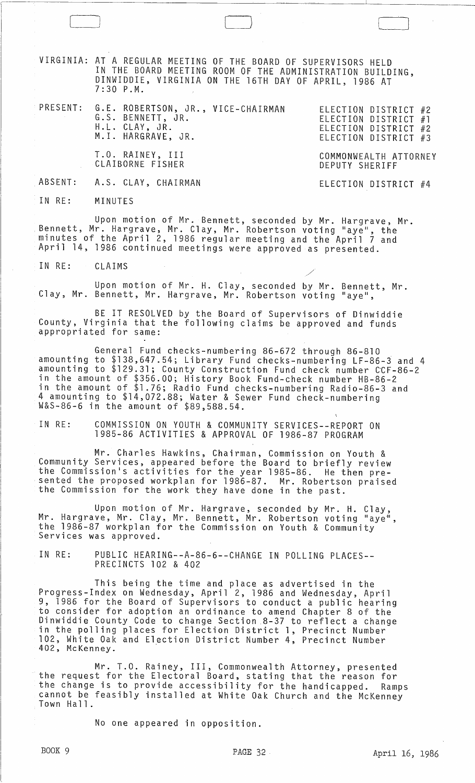VIRGINIA: AT A REGULAR MEETING OF THE BOARD OF SUPERVISORS HELD IN THE BOARD MEETING ROOM OF THE ADMINISTRATION BUILDING, DINWIDDIE, VIRGINIA ON THE 16TH DAY OF APRIL, 1986 AT 7:30 P.M.

PRESENT: G.E. ROBERTSON, JR., VICE-CHAIRMAN G.S. BENNETT, JR. ELECTION DISTRICT #2 ELECTION DISTRICT #1 ELECTION DISTRICT #2 ELECTION DISTRICT #3 H.L. CLAY, JR. M. I. HARGRAVE, JR. T.O. RAINEY, III CLAIBORNE FISHER COMMONWEALTH ATTORNEY DEPUTY SHERIFF

ABSENT: A.S. CLAY, CHAIRMAN

ELECTION DISTRICT #4

IN RE: MINUTES

l\_----'l

Upon motion of Mr. Bennett, seconded by Mr. Hargrave, Mr. Bennett, Mr. Hargrave, Mr. Clay, Mr. Robertson voting "aye", the minutes of the April 2, 1986 regular meeting and the April 7 and April 14, 1986 continued meetings were approved as presented.

IN RE: CLAIMS

Upon motion of Mr. H. Clay, seconded by Mr. Bennett, Mr. Clay, Mr. Bennett, Mr. Hargrave, Mr. Robertson voting "aye",

BE IT RESOLVED by the Board of Supervisors of Dinwiddie County, Virginia that the following claims be approved and funds appropriated for same:

General Fund checks-numbering 86-672 through 86-810 amounting to \$138,647.54; Library Fund checks-numbering LF-86-3 and 4 amounting to \$129.31; County Construction Fund check number CCF-86-2 in the amount of \$356.00; History Book Fund-check number HB-86-2 in the amount of \$1.76; Radio Fund checks-numbering Radio-86-3 and 4 amounting to \$14,072.88; Water & Sewer Fund check-numbering<br>W&S-86-6 in the amount of \$89,588.54.

IN RE: COMMISSION ON YOUTH & COMMUNITY SERVICES--REPORT ON 1985-86 ACTIVITIES & APPROVAL OF 1986-87 PROGRAM

Mr. Charles Hawkins, Chairman, Commission on Youth & Community Services, appeared before the Board to briefly review the Commission's activities for the year 1985-86. He then presented the proposed workplan for 1986-87. Mr. Robertson praised<br>the Commission for the work they have done in the past.

Upon motion of Mr. Hargrave, seconded by Mr. H. Clay, Mr. Hargrave, Mr. Clay, Mr. Hargrave, seconded by Mr. H. Clay,<br>the 1986-87 workplan for the Commission on Youth & Community<br>Services was approved.

IN RE: PUBLIC HEARING--A-86-6--CHANGE IN POLLING PLACES-- PRECINCTS 102 & 402

This being the time and place as advertised in the Progress-Index on Wednesday, April 2, 1986 and Wednesday, April 9, 1986 for the Board of Supervisors to conduct a public hearing to consider for adoption an ordinance to amend Chapter 8 of the Dinwiddie County Code to change Section .8-37 to reflect a change in the polling places for Election District 1, Precinct Number 102, White Oak and Election District Number 4, Precinct Number 402, McKenney. .

Mr. T.O. Rainey, III, Commonwealth Attorney, presented<br>the request for the Electoral Board, stating that the reason for the change is to provide accessibility for the handicapped. Ramps cannot be feasibly installed at White Oak Church and the McKenney<br>Town Hall.

No one appeared in opposition.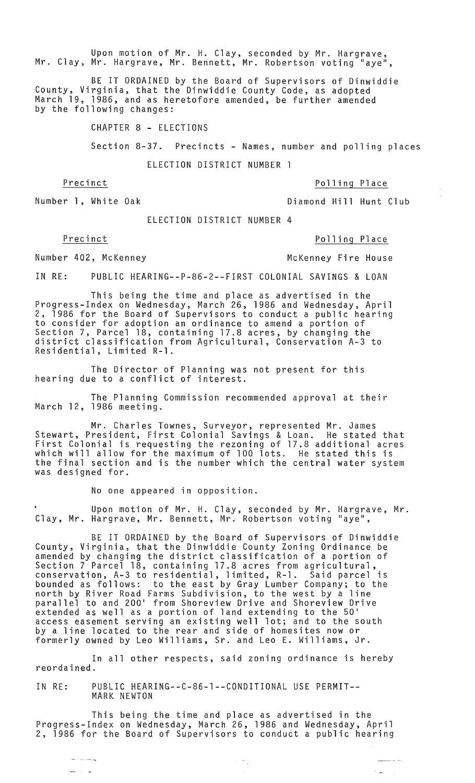Upon motion of Mr. H. Clay, seconded by Mr. Hargrave, Mr. Clay, Mr. Hargrave, Mr. Bennett, Mr. Robertson voting "aye",

BE IT ORDAINED by the Board of Supervisors of Dinwiddie County, Virginia, that the Dinwiddie County Code, as adopted March 19, 1986, and as heretofore amended, be further amended by the following changes:

CHAPTER 8 - ELECTIONS

Section 8-37. Precincts - Names, number and polling places

ELECTION DISTRICT NUMBER 1

Precinct Polling Place

Number 1, White Oak **Diamond Hill Hunt Club** 

ELECTION DISTRICT NUMBER 4

Precinct Polling Place

--"  $\frac{1}{2}$  . . .

Number 402, McKenney McKenney Fire House

IN RE: PUBLIC HEARING--P-86-2--FIRST COLONIAL SAVINGS & LOAN

This being the time and place as advertised in the Progress-Index on Wednesday, March 26, 1986 and Wednesday, April 2, 1986 for the Board of Supervisors to conduct a public hearing to consider for adoption an ordinance to amend a portion of Section 7, Parcel 18, containing 17.8 acres, by changing the district classification from Agricultural, Conservation A-3 to Residential, Limited R-l.

The Director of Planning was not present for this hearing due to a conflict of interest.

The Planning Commission recommended approval at their March 12, 1986 meeting.

Mr. Charles Townes, Surveyor, represented Mr. James Stewart, President, First Colonial Savings & Loan. He stated that First Colonial is requesting the rezoning of 17.8 additional acres which will allow for the maximum of 100 lots. He stated this is the final section and is the number which the central water system was designed for.

No one appeared in opposition.

Upon motion of Mr. H. Clay, seconded by Mr. Hargrave, Mr. Clay, Mr. Hargrave, Mr. Bennett, Mr. Robertson voting "aye",

BE IT ORDAINED by the Board of Supervisors of Dinwiddie County, Virginia, that the Dinwiddie County Zoning Ordinance be amended by changing the district classification of a portion of Section 7 Parcel 18, containing 17.8 acres from agricultural, conservation, A-3 to residential, limited, R-l. Said parcel is bounded as follows: to the east by Gray Lumber Company; to the north by River Road Farms Subdivision, to the west by a line parallel to and 200 1 from Shoreview Drive and Shoreview Drive extended as well as a portion of land extending to the 50' access easement serving an existing well lot; and to the south by a line located to the rear and side of homesites now or formerly owned by Leo Williams, Sr. and Leo E. Williams, Jr.

In all other respects, said zoning ordinance is hereby reordained.

IN RE: PUBLIC HEARING--C-86-1--CONDITIONAL USE PERMIT-- MARK NEWTON

This being the time and place as advertised in the Progress-Index on Wednesday, March 26, 1986 and Wednesday, April 2, 1986 for the Board of Supervisors to conduct a public hearing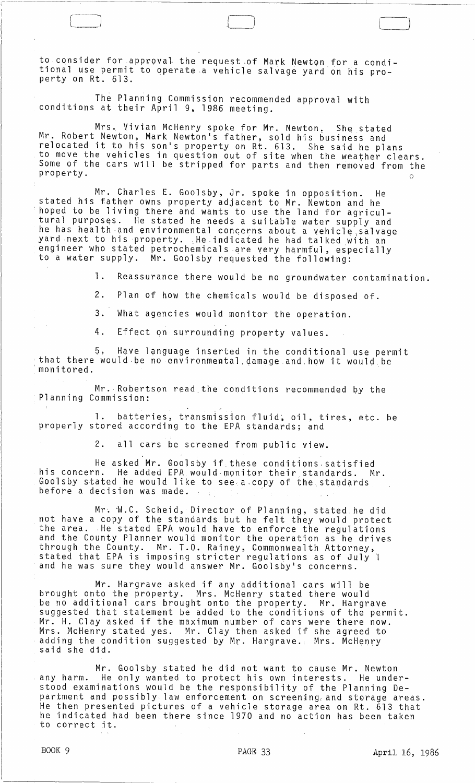to consider for approval the request of Mark Newton for a conditional use permit to operate.a vehicle salvage yard on his property on Rt. 613.

 $\Box$ 

The Planning Commission recommended approval with conditions at their April 9, 1986 meeting.

Mrs. Vivian McHenry spoke for Mr. Newton. She stated Mr. Robert Newton, Mark Newton's father, sold his business and relocated it to his son's property on Rt. 613. She said he plans to move the vehicles in question out of site when the weather clears. Some of the cars will be stripped for parts and then removed from the  $\mathsf{property}\,.$ 

Mr. Charles E. Goolsby, Jr. spoke in opposition. He stated his father owns property adjacent to Mr. Newton and he<br>hoped to be living there and wants to use the land for agricultural purposes. He stated he needs a suitable water supply and he has health and environmental concerns about a vehicle salvage yard next to his property. He.indicated he had talked with an engineer who stated petrochemicals are very harmful, especially to a water supply. Mr. Goolsby requested the following:

1. Reassurance there would be no groundwater contamination.

2. Plan of how the chemicals would be disposed of.

3. What agencies would monitor the operation.

4. Effect qn surrounding property values.

5. Have language inserted in the conditional use permit that there would be no environmental damage and how it would be monitored.

Mr.· Robertson read the conditions recommended by the Planning Commission:

1. batteries, transmission fluid, oil, tires, etc. be properly stored according to the EPA standards; and

2. all cars be screened from public view.

He asked Mr. Goolsby if these conditions satisfied<br>his concern. He added EPA would monitor their standards. M He added EPA would monitor their standards. Mr. Goolsby stated he would like to see·a.copy of the standards before a decision was made. .

Mr. W.C. Scheid, Director of Planning, stated he did not have a copy of the standards but he felt they would protect the area. He stated EPA would have to enforce the regulations and the County Planner would monitor the operation as he drives through the County. Mr. T.O. Rainey, Commonwealth Attorney, stated that EPA is imposing stricter regulations as of July 1 and he was sure they would answer Mr. Goolsby's concerns.

Mr. Hargrave asked if any additional cars will be brought onto the property. Mrs. McHenry stated there would be no additional cars brought onto the property. Mr. Hargrave suggested that statement be added to the conditions of the permit. Mr. H. Clay asked if the maximum number of cars were there now. Mrs. McHenry stated yes. Mr. Clay then asked if she agreed to adding the condition suggested by Mr. Hargrave.; Mrs. McHenrY said she did.

Mr. Goolsby stated he did not want to cause Mr. Newton any harm. He only wanted to protect his own interests. He understood examinations would be the responsibility of the Planning Department and possibly law enforcement on screening, and storage areas. He then presented pictures of a vehicle storage area on Rt. 613 that he indicated had been there since 1970 and no action has been taken to correct it.

 $\int$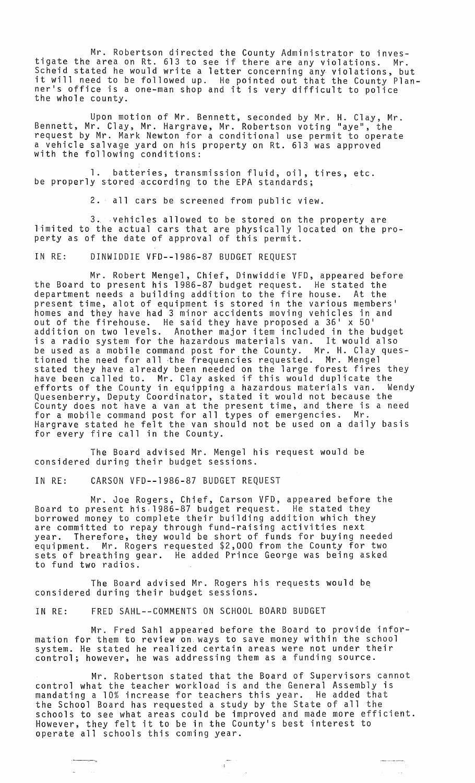Mr. Robertson directed the County Administrator to investigate the area on Rt. 613 to see if there are any violations. Mr. Scheid stated he would write a letter concerning any violations, but it will need to be followed up. He pointed out that the County Plan-It will need to be forfowed up. The pointed out that the county ri<br>ner's office is a one-man shop and it is very difficult to police<br>the whole county.

Upon motion of Mr. Bennett, seconded by Mr. H. Clay, Mr. Bennett, Mr. Clay, Mr. Hargrave, Mr. Robertson voting "aye", the request by Mr. Mark Newton for a conditional use permit to operate a vehicle salvage yard on his property on Rt. 613 was approved with the following conditions:

1. batteries, transmission fluid, oil, tires, etc. be properly stored according to the EPA standards;

2. all cars be screened from public view.

3. ,vehicles allowed to be stored on the property are limited to the actual cars that are physically located on the property as of the date of approval of this permit.

IN RE: DINWIDDIE VFD--1986-87 BUDGET REQUEST

Mr. Robert Mengel, Chief, Dinwiddie VFD, appeared before the Board to present his 1986-87 budget request. He stated the department needs a building addition to the fire house. At the present time, alot of equipment is stored in the various members· homes and they have had 3 minor accidents moving vehicles in and out of the firehouse. He said they have proposed a 36· x 50· addition on two levels. Another major item included in the budget is a radio system for the hazardous materials van. It would also be used as a mobile command post for the County. Mr. H. Clay questioned the need for all the frequencies requested. Mr. Mengel stated they have already been needed on the large forest fires they have been called to. Mr. Clay asked if this would duplicate the efforts of the County in equipping a hazardous materials van. Wendy Quesenberry, Deputy Coordinator, stated it would not because the County does not have a van at the present time, and there is a need for a mobile command post for all types of emergencies. Mr. Hargrave stated he felt the van should not be used on a daily basis for every fire call in the County.

The Board advised Mr. Mengel his request would be considered during their budget sessions.

IN RE: CARSON VFD--1986-87 BUDGET REQUEST

Mr. Joe Rogers, Chief, Carson VFD, appeared before the Board to present his,1986-87 budget request. He stated they borrowed money to complete their building addition which they are committed to repay through fund-raising activities next year. Therefore, they would be short of funds for buying needed equipment. Mr. Rogers requested \$2,000 from the County for two sets of breathing gear. He added Prince George was being asked to fund two radios.

The Board advised Mr. Rogers his requests would be considered during their budget sessions.

IN RE: FRED SAHL--COMMENTS ON SCHOOL BOARD BUDGET

----.-"

Mr. Fred Sahl appeared before the Board to provide information for them to review on, ways to save money within the school system. He stated he realized certain areas were not under their control; however, he was addressing them as a funding source.

Mr. Robertson stated that the Board of Supervisors cannot control what the teacher workload is and the General Assembly is mandating a 10% increase for teachers this year. He added that the School Board has requested a study by the State of all the schools to see what areas could be improved and made more efficient. However, they felt it to be in the County·s best interest to operate all schools this coming year.

 $\mathbb{C}^+$  .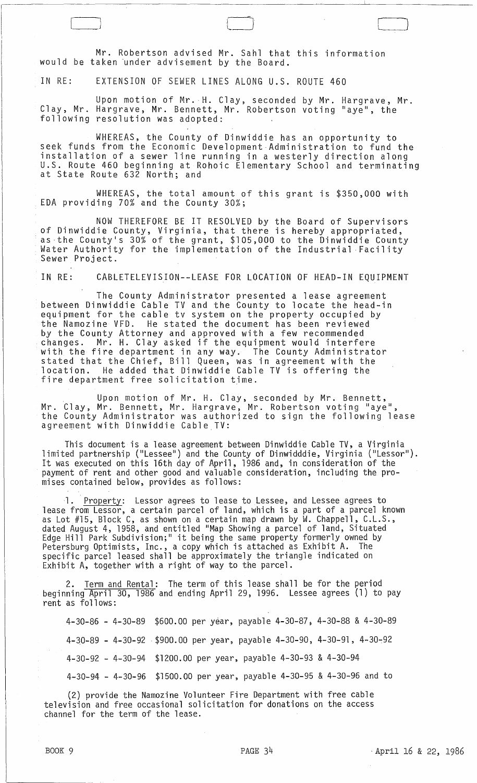Mr. Robertson advised Mr. Sahl that this information would be taken under advisement by the Board.

IN RE: EXTENSION OF SEWER LINES ALONG u.S. ROUTE 460

,--\_J

Upon motion of Mr.-H. Clay, seconded by Mr. Hargrave, Mr. Clay, Mr. Hargrave, Mr. Bennett, Mr. Robertson voting "aye", the following resolution was adopted:

WHEREAS, the County of Dinwiddie has an opportunity to seek funds from the Economic Development Administration to fund the installation of a sewer line running in a westerly direction along u.S. Route 460 beginning at Rohoic Elementary School and terminating at State Route 632 North; and

WHEREAS, the total amount of this grant is \$350,000 with EDA providing 70% and the County 30%;

NOW THEREFORE BE IT RESOLVED by the Board of Supervisors<br>of Dinwiddie County, Virginia, that there is hereby appropriated, as-the County's 30% of the grant, \$105,000 to the Dinwiddie County Water Authority for the implementation of the Industrial Facility<br>Sewer Project.

IN RE: CABLETELEVISION--LEASE FOR LOCATION OF HEAD-IN EQUIPMENT

The County Administrator presented a lease agreement between Dinwiddie Cable TV and the County to locate the head-in equipment for the cable tv system on the property occupied by the Namozine VFD. He stated the document has been reviewed by the County Attorney and approved with a few recommended changes. Mr. H. Clay asked if the equipment would interfere with the fire department in any way. The County Administrator stated that the Chief, Bill Queen, was in agreement with the location. He added that Dinwiddie Cable TV is offering the fire department free solicitation time.

Upon motion of Mr. H. Clay, seconded by Mr. Bennett, Mr. Clay, Mr. Bennett, Mr. Hargrave, Mr. Robertson voting "aye",<br>the County Administrator was authorized to sign the following lease agreement with Dinwiddie Cable TV:

This document is a lease agreement between Dinwiddie Cable TV, a Virginia limited partnership ("Lessee") and the County of Dinwidddie, Virginia ("Lessor"). It was executed on this 16th day of April, 1986 and, in consideration of the payment of rent and other good and valuable consideration, including the promises contained below, provides as follows:

1. Property: Lessor agrees to lease to Lessee, and Lessee agrees to lease from Lessor, a certain parcel of land, which is a part of a parcel known as Lot #15, Block C, as shown on a certain map drawn by W. Chappell, C.L.S., dated August 4, 1958, and entitled "Map Showing a parcel of land, Situated Edge Hill Park Subdivision;" it being the same property formerly owned by Petersburg Optimists, Inc., a copy which is attached as Exhibit A. The specific parcel leased shall be approximately the triangle indicated on Exhibit A, together with a right of way to the parcel.

2. Term and Rental: The term of this lease shall be for the period beginning April 30, 1986 and ending April 29, 1996. Lessee agrees (1) to pay rent as follows:

4-30-86 - 4-30-89 \$600.00 per year, payable 4-30-87; 4-30-88 & 4-30-89 4-30-89 - 4-30-92 -\$900.00 per year, payable 4-30-90, 4-30-91, 4-30~92 4-30-92 - 4-30-94 \$1200.00 per year, payable 4-30-93 & 4-30-94 4-30-94 - 4-30-96 \$1500.00 per year, payable 4-30-95 & 4-30-96 and to

(2) provide the Namozine Volunteer Fire Department with free cable television and free occasional solicitation for donations on the access channel for the term of the lease.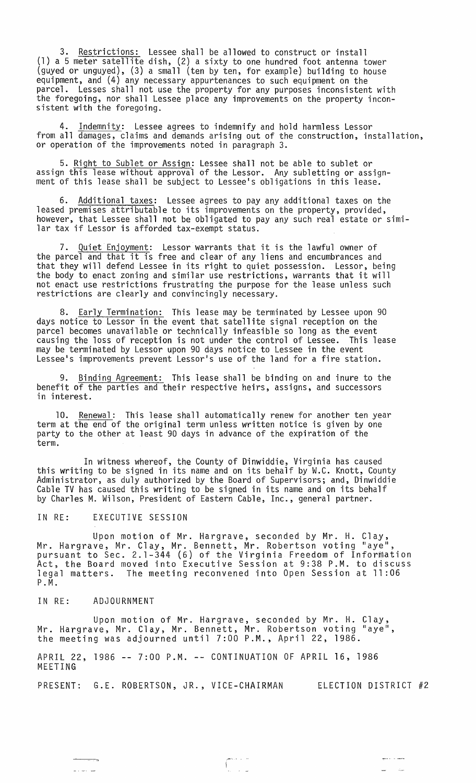3. Restrictions: Lessee shall be allowed to construct or install (1) a 5 meter satellite dish, (2) a sixty to one hundred foot antenna tower (guyed or unguyed), (3) a small (ten by ten, for example) building to house equipment, and (4) any necessary appurtenances to such equipment on the parcel. Lesses shall not use the property for any purposes inconsistent with the foregoing, nor shall Lessee place any improvements on the property inconsistent with the foregoing.

4. <u>Indemnity</u>: Lessee agrees to indemnify and hold harmless Lessor from all damages, claims and demands arising out of the construction, installation, or operation of the improvements noted in paragraph 3.

5. Right to Sublet or Assign: Lessee shall not be able to sublet or assign this lease without approval of the Lessor. Any subletting or assignment of this lease shall be subject to Lessee's obligations in this lease.

6. Additional taxes: Lessee agrees to pay any additional taxes on the leased premises attributable to its improvements on the property, provided, however, that Lessee shall not be obligated to pay any such real estate or similar tax if Lessor is afforded tax-exempt status.

7. Quiet Enjoyment: Lessor warrants that it is the lawful owner of the parcel and that it is free and clear of any liens and encumbrances and that they will defend Lessee in its right to quiet possession. Lessor, being the body to enact zoning and similar use restrictions, warrants that it will not enact use restrictions frustrating the purpose for the lease unless such restrictions are clearly and convincingly necessary.

Early Termination: This lease may be terminated by Lessee upon 90 days notice to Lessor in the event that satellite signal reception on the parcel becomes unavailable or technically infeasible so long as the event causing the loss of reception is not under the control of Lessee. This lease may be terminated by Lessor upon 90 days notice to Lessee in the event Lessee's improvements prevent Lessor's use of the land for a fire station.

9. Binding Agreement: This lease shall be binding on and inure to the benefit of the parties and their respective heirs, assigns, and successors in interest.

Renewal: This lease shall automatically renew for another ten year term at the end of the original term unless written notice is given by one party to the other at least 90 days in advance of the expiration of the term.

In witness whereof, the County of Dinwiddie, Virginia has caused this writing to be signed in its name and on its behalf by W.C. Knott, County Administrator, as duly authorized by the Board of Supervisors; and, Dinwiddie Cable TV has caused this writing to be signed in its name and on its behalf by Charles M. Wilson, President of Eastern Cable, Inc., general partner.

## IN RE: EXECUTIVE SESSION

Upon motion of Mr. Hargrave, seconded by Mr. H. Clay, Mr. Hargrave, Mr. Clay, Mr. Bennett, Mr. Robertson voting "aye", pursuant to Sec. 2.1-344 (6) of the Virginia Freedom of InforMation Act, the Board moved into Executive Session at 9:38 P.M. to discuss legal matters. The meeting reconvened into Open Session at 11 :06 P. M.

## IN RE: ADJOURNMENT

ر<br>محمد المحمد ال

Upon motion of Mr. Hargrave, seconded by Mr. H. Clay, Mr. Hargrave, Mr. Clay, Mr. Bennett, Mr. Robertson voting "aye", the meeting was adjourned until 7:00 P.M., April 22, 1986.

APRIL 22, 1986 **--** 7:00 P.M. **--** CONTINUATION OF APRIL 16, 1986 MEETING

PRESENT: G.E. ROBERTSON, JR., VICE-CHAIRMAN ELECTION DISTRICT #2

 $\begin{bmatrix} 1 & 0 & 0 & 0 \\ 0 & 0 & 0 & 0 \\ 0 & 0 & 0 & 0 \\ 0 & 0 & 0 & 0 \\ 0 & 0 & 0 & 0 \\ 0 & 0 & 0 & 0 \\ 0 & 0 & 0 & 0 \\ 0 & 0 & 0 & 0 \\ 0 & 0 & 0 & 0 \\ 0 & 0 & 0 & 0 \\ 0 & 0 & 0 & 0 & 0 \\ 0 & 0 & 0 & 0 & 0 \\ 0 & 0 & 0 & 0 & 0 \\ 0 & 0 & 0 & 0 & 0 \\ 0 & 0 & 0 & 0 & 0 \\ 0 & 0 & 0 & 0 & 0 \\ 0 &$ 

where  $\hat{a}^{\dagger}_{\mu}$  is a super-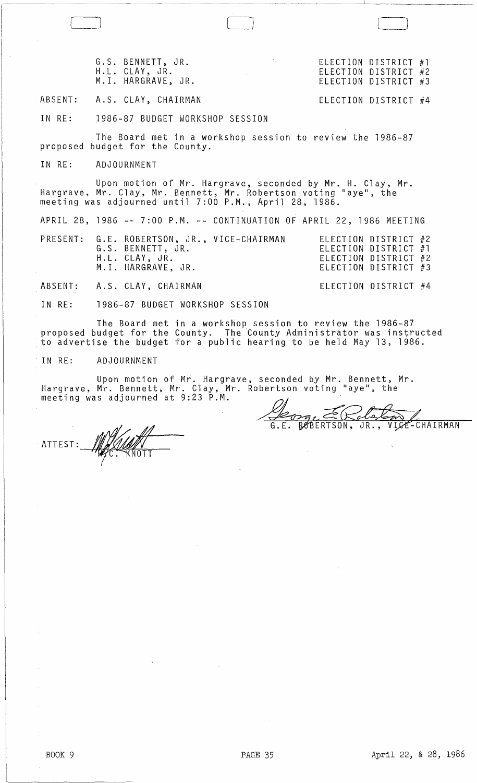|                                                                                                                                                                                         | G.S. BENNETT, JR. Sandborough Selection District #1<br>H.L. CLAY, JR. The Contract of the CLECTION DISTRICT #2<br>M.I. HARGRAVE, JR. | ELECTION DISTRICT #3                                                 |
|-----------------------------------------------------------------------------------------------------------------------------------------------------------------------------------------|--------------------------------------------------------------------------------------------------------------------------------------|----------------------------------------------------------------------|
|                                                                                                                                                                                         | ABSENT: A.S. CLAY, CHAIRMAN                                                                                                          | ELECTION DISTRICT #4                                                 |
|                                                                                                                                                                                         | IN RE: 1986-87 BUDGET WORKSHOP SESSION                                                                                               |                                                                      |
|                                                                                                                                                                                         | The Board met in a workshop session to review the 1986-87<br>proposed budget for the County.                                         |                                                                      |
|                                                                                                                                                                                         | IN RE: ADJOURNMENT                                                                                                                   |                                                                      |
| Upon motion of Mr. Hargrave, seconded by Mr. H. Clay, Mr.<br>Hargrave, Mr. Clay, Mr. Bennett, Mr. Robertson voting "aye", the<br>meeting was adjourned until 7:00 P.M., April 28, 1986. |                                                                                                                                      |                                                                      |
|                                                                                                                                                                                         | APRIL 28, 1986 -- 7:00 P.M. -- CONTINUATION OF APRIL 22, 1986 MEETING                                                                |                                                                      |
|                                                                                                                                                                                         | PRESENT: G.E. ROBERTSON, JR., VICE-CHAIRMAN ELECTION DISTRICT #2<br>G.S. BENNETT, JR.<br>H.L. CLAY, JR.<br>M.I. HARGRAVE, JR.        | ELECTION DISTRICT #1<br>ELECTION DISTRICT #2<br>ELECTION DISTRICT #3 |
|                                                                                                                                                                                         | ABSENT: A.S. CLAY, CHAIRMAN                                                                                                          | ELECTION DISTRICT #4                                                 |
|                                                                                                                                                                                         | IN RE: 1986-87 BUDGET WORKSHOP SESSION                                                                                               |                                                                      |

The Board met in a workshop session to review the 1986-87 proposed budget for the County. The County Administrator was instructed to advertise the budget for a public hearing to be held May 13, 1986.

IN RE: ADJOURNMENT

Upon motion of Mr. Hargrave, seconded by Mr. Bennett, Mr. Hargrave, Mr. Bennett, Mr. Clay, Mr. Robertson voting "aye", the meeting was adjourned at 9:23 P.M.

ATTEST: WALLAND

George ERclasson